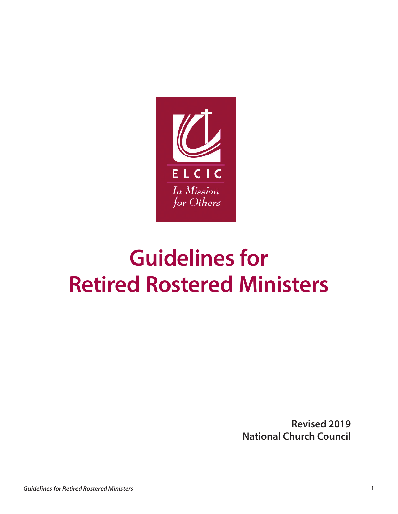

# **Guidelines for Retired Rostered Ministers**

**Revised 2019 National Church Council**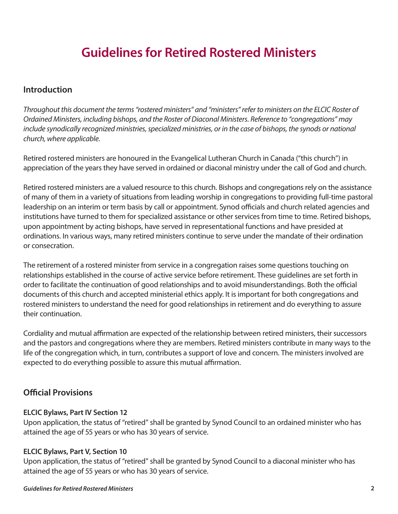# **Guidelines for Retired Rostered Ministers**

#### **Introduction**

*Throughout this document the terms "rostered ministers" and "ministers" refer to ministers on the ELCIC Roster of Ordained Ministers, including bishops, and the Roster of Diaconal Ministers. Reference to "congregations" may include synodically recognized ministries, specialized ministries, or in the case of bishops, the synods or national church, where applicable.*

Retired rostered ministers are honoured in the Evangelical Lutheran Church in Canada ("this church") in appreciation of the years they have served in ordained or diaconal ministry under the call of God and church.

Retired rostered ministers are a valued resource to this church. Bishops and congregations rely on the assistance of many of them in a variety of situations from leading worship in congregations to providing full-time pastoral leadership on an interim or term basis by call or appointment. Synod officials and church related agencies and institutions have turned to them for specialized assistance or other services from time to time. Retired bishops, upon appointment by acting bishops, have served in representational functions and have presided at ordinations. In various ways, many retired ministers continue to serve under the mandate of their ordination or consecration.

The retirement of a rostered minister from service in a congregation raises some questions touching on relationships established in the course of active service before retirement. These guidelines are set forth in order to facilitate the continuation of good relationships and to avoid misunderstandings. Both the official documents of this church and accepted ministerial ethics apply. It is important for both congregations and rostered ministers to understand the need for good relationships in retirement and do everything to assure their continuation.

Cordiality and mutual affirmation are expected of the relationship between retired ministers, their successors and the pastors and congregations where they are members. Retired ministers contribute in many ways to the life of the congregation which, in turn, contributes a support of love and concern. The ministers involved are expected to do everything possible to assure this mutual affirmation.

#### **Ofcial Provisions**

#### **ELCIC Bylaws, Part IV Section 12**

Upon application, the status of "retired" shall be granted by Synod Council to an ordained minister who has attained the age of 55 years or who has 30 years of service.

#### **ELCIC Bylaws, Part V, Section 10**

Upon application, the status of "retired" shall be granted by Synod Council to a diaconal minister who has attained the age of 55 years or who has 30 years of service.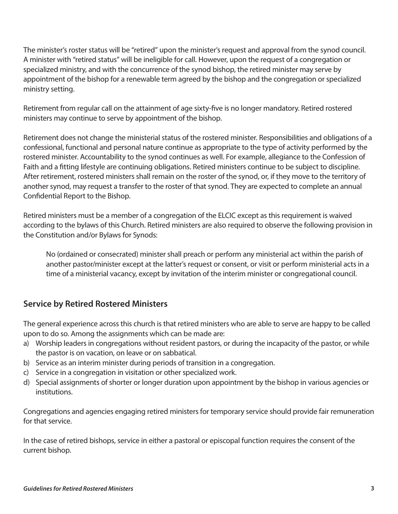The minister's roster status will be "retired" upon the minister's request and approval from the synod council. A minister with "retired status" will be ineligible for call. However, upon the request of a congregation or specialized ministry, and with the concurrence of the synod bishop, the retired minister may serve by appointment of the bishop for a renewable term agreed by the bishop and the congregation or specialized ministry setting.

Retirement from regular call on the attainment of age sixty-fve is no longer mandatory. Retired rostered ministers may continue to serve by appointment of the bishop.

Retirement does not change the ministerial status of the rostered minister. Responsibilities and obligations of a confessional, functional and personal nature continue as appropriate to the type of activity performed by the rostered minister. Accountability to the synod continues as well. For example, allegiance to the Confession of Faith and a ftting lifestyle are continuing obligations. Retired ministers continue to be subject to discipline. After retirement, rostered ministers shall remain on the roster of the synod, or, if they move to the territory of another synod, may request a transfer to the roster of that synod. They are expected to complete an annual Confdential Report to the Bishop.

Retired ministers must be a member of a congregation of the ELCIC except as this requirement is waived according to the bylaws of this Church. Retired ministers are also required to observe the following provision in the Constitution and/or Bylaws for Synods:

No (ordained or consecrated) minister shall preach or perform any ministerial act within the parish of another pastor/minister except at the latter's request or consent, or visit or perform ministerial acts in a time of a ministerial vacancy, except by invitation of the interim minister or congregational council.

## **Service by Retired Rostered Ministers**

The general experience across this church is that retired ministers who are able to serve are happy to be called upon to do so. Among the assignments which can be made are:

- a) Worship leaders in congregations without resident pastors, or during the incapacity of the pastor, or while the pastor is on vacation, on leave or on sabbatical.
- b) Service as an interim minister during periods of transition in a congregation.
- c) Service in a congregation in visitation or other specialized work.
- d) Special assignments of shorter or longer duration upon appointment by the bishop in various agencies or institutions.

Congregations and agencies engaging retired ministers for temporary service should provide fair remuneration for that service.

In the case of retired bishops, service in either a pastoral or episcopal function requires the consent of the current bishop.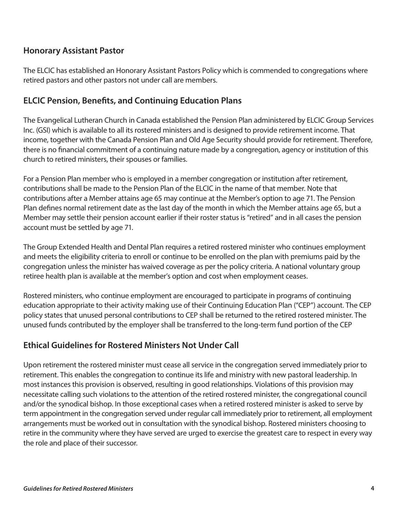## **Honorary Assistant Pastor**

The ELCIC has established an Honorary Assistant Pastors Policy which is commended to congregations where retired pastors and other pastors not under call are members.

#### **ELCIC Pension, Benefts, and Continuing Education Plans**

The Evangelical Lutheran Church in Canada established the Pension Plan administered by ELCIC Group Services Inc. (GSI) which is available to all its rostered ministers and is designed to provide retirement income. That income, together with the Canada Pension Plan and Old Age Security should provide for retirement. Therefore, there is no fnancial commitment of a continuing nature made by a congregation, agency or institution of this church to retired ministers, their spouses or families.

For a Pension Plan member who is employed in a member congregation or institution after retirement, contributions shall be made to the Pension Plan of the ELCIC in the name of that member. Note that contributions after a Member attains age 65 may continue at the Member's option to age 71. The Pension Plan defnes normal retirement date as the last day of the month in which the Member attains age 65, but a Member may settle their pension account earlier if their roster status is "retired" and in all cases the pension account must be settled by age 71.

The Group Extended Health and Dental Plan requires a retired rostered minister who continues employment and meets the eligibility criteria to enroll or continue to be enrolled on the plan with premiums paid by the congregation unless the minister has waived coverage as per the policy criteria. A national voluntary group retiree health plan is available at the member's option and cost when employment ceases.

Rostered ministers, who continue employment are encouraged to participate in programs of continuing education appropriate to their activity making use of their Continuing Education Plan ("CEP") account. The CEP policy states that unused personal contributions to CEP shall be returned to the retired rostered minister. The unused funds contributed by the employer shall be transferred to the long-term fund portion of the CEP

#### **Ethical Guidelines for Rostered Ministers Not Under Call**

Upon retirement the rostered minister must cease all service in the congregation served immediately prior to retirement. This enables the congregation to continue its life and ministry with new pastoral leadership. In most instances this provision is observed, resulting in good relationships. Violations of this provision may necessitate calling such violations to the attention of the retired rostered minister, the congregational council and/or the synodical bishop. In those exceptional cases when a retired rostered minister is asked to serve by term appointment in the congregation served under regular call immediately prior to retirement, all employment arrangements must be worked out in consultation with the synodical bishop. Rostered ministers choosing to retire in the community where they have served are urged to exercise the greatest care to respect in every way the role and place of their successor.